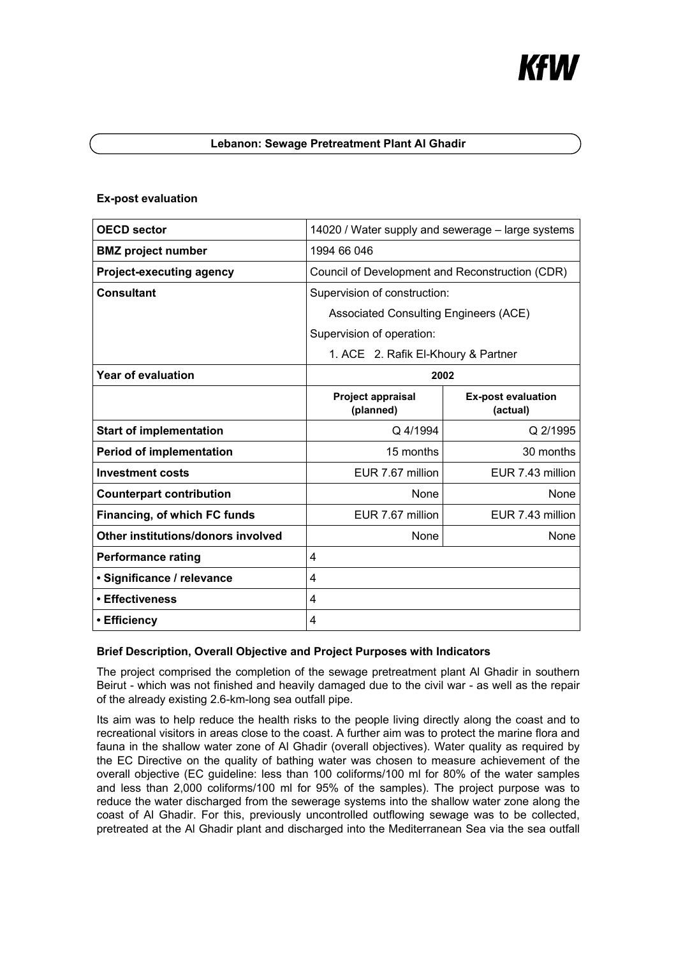# K#I/I

## **Lebanon: Sewage Pretreatment Plant Al Ghadir**

## **Ex-post evaluation**

| <b>OECD</b> sector                 | 14020 / Water supply and sewerage – large systems |                                       |
|------------------------------------|---------------------------------------------------|---------------------------------------|
| <b>BMZ</b> project number          | 1994 66 046                                       |                                       |
| <b>Project-executing agency</b>    | Council of Development and Reconstruction (CDR)   |                                       |
| <b>Consultant</b>                  | Supervision of construction:                      |                                       |
|                                    | Associated Consulting Engineers (ACE)             |                                       |
|                                    | Supervision of operation:                         |                                       |
|                                    | 1. ACE 2. Rafik El-Khoury & Partner               |                                       |
| <b>Year of evaluation</b>          | 2002                                              |                                       |
|                                    | <b>Project appraisal</b><br>(planned)             | <b>Ex-post evaluation</b><br>(actual) |
| <b>Start of implementation</b>     | Q 4/1994                                          | Q 2/1995                              |
| <b>Period of implementation</b>    | 15 months                                         | 30 months                             |
| <b>Investment costs</b>            | EUR 7.67 million                                  | EUR 7.43 million                      |
| <b>Counterpart contribution</b>    | <b>None</b>                                       | None                                  |
| Financing, of which FC funds       | EUR 7.67 million                                  | EUR 7.43 million                      |
| Other institutions/donors involved | None                                              | None                                  |
| <b>Performance rating</b>          | 4                                                 |                                       |
| · Significance / relevance         | 4                                                 |                                       |
| • Effectiveness                    | 4                                                 |                                       |
| • Efficiency                       | 4                                                 |                                       |

#### **Brief Description, Overall Objective and Project Purposes with Indicators**

The project comprised the completion of the sewage pretreatment plant Al Ghadir in southern Beirut - which was not finished and heavily damaged due to the civil war - as well as the repair of the already existing 2.6-km-long sea outfall pipe.

Its aim was to help reduce the health risks to the people living directly along the coast and to recreational visitors in areas close to the coast. A further aim was to protect the marine flora and fauna in the shallow water zone of Al Ghadir (overall objectives). Water quality as required by the EC Directive on the quality of bathing water was chosen to measure achievement of the overall objective (EC guideline: less than 100 coliforms/100 ml for 80% of the water samples and less than 2,000 coliforms/100 ml for 95% of the samples). The project purpose was to reduce the water discharged from the sewerage systems into the shallow water zone along the coast of Al Ghadir. For this, previously uncontrolled outflowing sewage was to be collected, pretreated at the Al Ghadir plant and discharged into the Mediterranean Sea via the sea outfall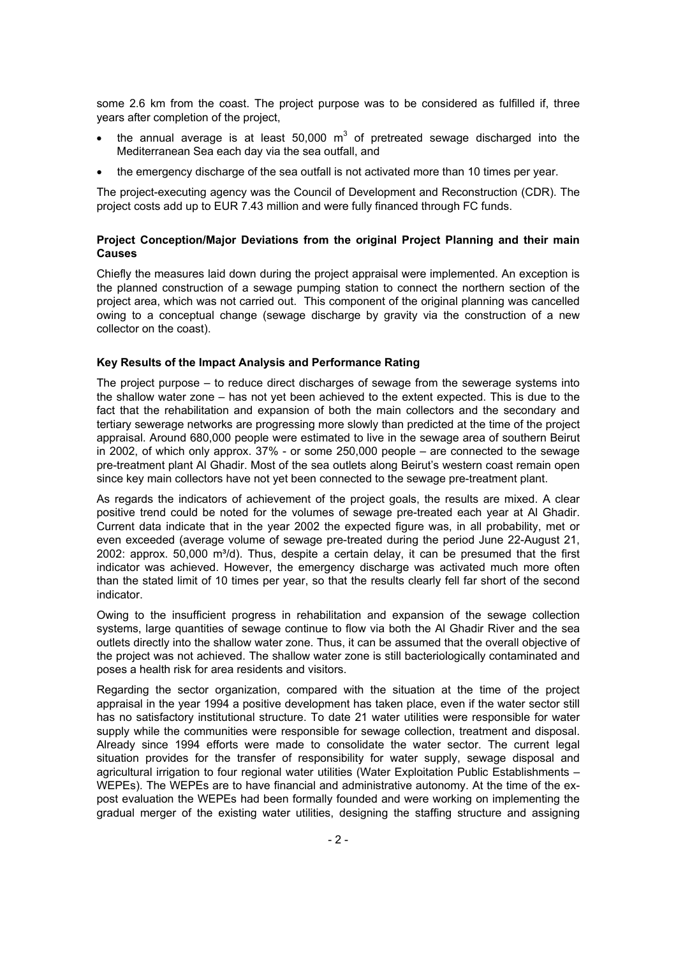some 2.6 km from the coast. The project purpose was to be considered as fulfilled if, three years after completion of the project,

- the annual average is at least 50,000  $m^3$  of pretreated sewage discharged into the Mediterranean Sea each day via the sea outfall, and
- the emergency discharge of the sea outfall is not activated more than 10 times per year.

The project-executing agency was the Council of Development and Reconstruction (CDR). The project costs add up to EUR 7.43 million and were fully financed through FC funds.

## **Project Conception/Major Deviations from the original Project Planning and their main Causes**

Chiefly the measures laid down during the project appraisal were implemented. An exception is the planned construction of a sewage pumping station to connect the northern section of the project area, which was not carried out. This component of the original planning was cancelled owing to a conceptual change (sewage discharge by gravity via the construction of a new collector on the coast).

#### **Key Results of the Impact Analysis and Performance Rating**

The project purpose – to reduce direct discharges of sewage from the sewerage systems into the shallow water zone – has not yet been achieved to the extent expected. This is due to the fact that the rehabilitation and expansion of both the main collectors and the secondary and tertiary sewerage networks are progressing more slowly than predicted at the time of the project appraisal. Around 680,000 people were estimated to live in the sewage area of southern Beirut in 2002, of which only approx. 37% - or some 250,000 people – are connected to the sewage pre-treatment plant Al Ghadir. Most of the sea outlets along Beirut's western coast remain open since key main collectors have not yet been connected to the sewage pre-treatment plant.

As regards the indicators of achievement of the project goals, the results are mixed. A clear positive trend could be noted for the volumes of sewage pre-treated each year at Al Ghadir. Current data indicate that in the year 2002 the expected figure was, in all probability, met or even exceeded (average volume of sewage pre-treated during the period June 22-August 21, 2002: approx.  $50,000$  m $^{3}$ /d). Thus, despite a certain delay, it can be presumed that the first indicator was achieved. However, the emergency discharge was activated much more often than the stated limit of 10 times per year, so that the results clearly fell far short of the second indicator.

Owing to the insufficient progress in rehabilitation and expansion of the sewage collection systems, large quantities of sewage continue to flow via both the Al Ghadir River and the sea outlets directly into the shallow water zone. Thus, it can be assumed that the overall objective of the project was not achieved. The shallow water zone is still bacteriologically contaminated and poses a health risk for area residents and visitors.

Regarding the sector organization, compared with the situation at the time of the project appraisal in the year 1994 a positive development has taken place, even if the water sector still has no satisfactory institutional structure. To date 21 water utilities were responsible for water supply while the communities were responsible for sewage collection, treatment and disposal. Already since 1994 efforts were made to consolidate the water sector. The current legal situation provides for the transfer of responsibility for water supply, sewage disposal and agricultural irrigation to four regional water utilities (Water Exploitation Public Establishments – WEPEs). The WEPEs are to have financial and administrative autonomy. At the time of the expost evaluation the WEPEs had been formally founded and were working on implementing the gradual merger of the existing water utilities, designing the staffing structure and assigning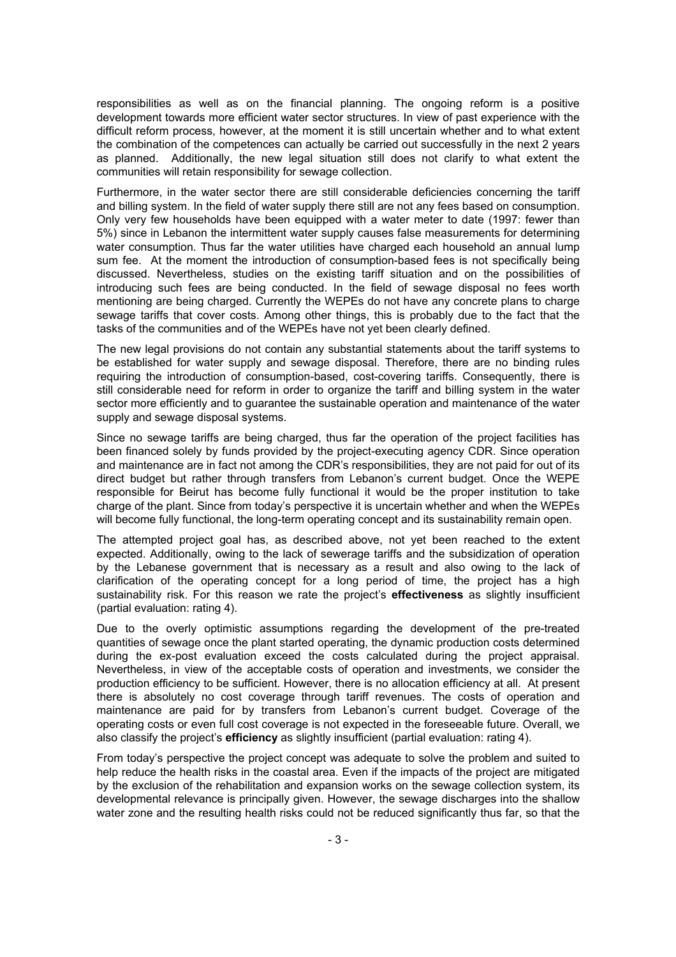responsibilities as well as on the financial planning. The ongoing reform is a positive development towards more efficient water sector structures. In view of past experience with the difficult reform process, however, at the moment it is still uncertain whether and to what extent the combination of the competences can actually be carried out successfully in the next 2 years as planned. Additionally, the new legal situation still does not clarify to what extent the communities will retain responsibility for sewage collection.

Furthermore, in the water sector there are still considerable deficiencies concerning the tariff and billing system. In the field of water supply there still are not any fees based on consumption. Only very few households have been equipped with a water meter to date (1997: fewer than 5%) since in Lebanon the intermittent water supply causes false measurements for determining water consumption. Thus far the water utilities have charged each household an annual lump sum fee. At the moment the introduction of consumption-based fees is not specifically being discussed. Nevertheless, studies on the existing tariff situation and on the possibilities of introducing such fees are being conducted. In the field of sewage disposal no fees worth mentioning are being charged. Currently the WEPEs do not have any concrete plans to charge sewage tariffs that cover costs. Among other things, this is probably due to the fact that the tasks of the communities and of the WEPEs have not yet been clearly defined.

The new legal provisions do not contain any substantial statements about the tariff systems to be established for water supply and sewage disposal. Therefore, there are no binding rules requiring the introduction of consumption-based, cost-covering tariffs. Consequently, there is still considerable need for reform in order to organize the tariff and billing system in the water sector more efficiently and to guarantee the sustainable operation and maintenance of the water supply and sewage disposal systems.

Since no sewage tariffs are being charged, thus far the operation of the project facilities has been financed solely by funds provided by the project-executing agency CDR. Since operation and maintenance are in fact not among the CDR's responsibilities, they are not paid for out of its direct budget but rather through transfers from Lebanon's current budget. Once the WEPE responsible for Beirut has become fully functional it would be the proper institution to take charge of the plant. Since from today's perspective it is uncertain whether and when the WEPEs will become fully functional, the long-term operating concept and its sustainability remain open.

The attempted project goal has, as described above, not yet been reached to the extent expected. Additionally, owing to the lack of sewerage tariffs and the subsidization of operation by the Lebanese government that is necessary as a result and also owing to the lack of clarification of the operating concept for a long period of time, the project has a high sustainability risk. For this reason we rate the project's **effectiveness** as slightly insufficient (partial evaluation: rating 4).

Due to the overly optimistic assumptions regarding the development of the pre-treated quantities of sewage once the plant started operating, the dynamic production costs determined during the ex-post evaluation exceed the costs calculated during the project appraisal. Nevertheless, in view of the acceptable costs of operation and investments, we consider the production efficiency to be sufficient. However, there is no allocation efficiency at all. At present there is absolutely no cost coverage through tariff revenues. The costs of operation and maintenance are paid for by transfers from Lebanon's current budget. Coverage of the operating costs or even full cost coverage is not expected in the foreseeable future. Overall, we also classify the project's **efficiency** as slightly insufficient (partial evaluation: rating 4).

From today's perspective the project concept was adequate to solve the problem and suited to help reduce the health risks in the coastal area. Even if the impacts of the project are mitigated by the exclusion of the rehabilitation and expansion works on the sewage collection system, its developmental relevance is principally given. However, the sewage discharges into the shallow water zone and the resulting health risks could not be reduced significantly thus far, so that the